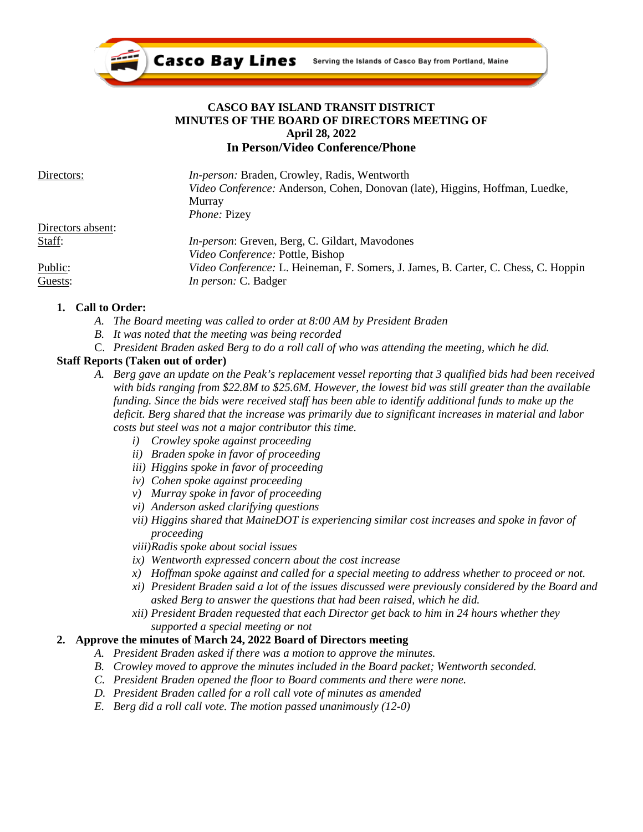

### **CASCO BAY ISLAND TRANSIT DISTRICT MINUTES OF THE BOARD OF DIRECTORS MEETING OF April 28, 2022 In Person/Video Conference/Phone**

| Directors:        | <i>In-person:</i> Braden, Crowley, Radis, Wentworth                                       |
|-------------------|-------------------------------------------------------------------------------------------|
|                   | Video Conference: Anderson, Cohen, Donovan (late), Higgins, Hoffman, Luedke,              |
|                   | Murray                                                                                    |
|                   | <i>Phone: Pizey</i>                                                                       |
| Directors absent: |                                                                                           |
| Staff:            | <i>In-person:</i> Greven, Berg, C. Gildart, Mavodones                                     |
|                   | Video Conference: Pottle, Bishop                                                          |
| Public:           | <i>Video Conference: L. Heineman, F. Somers, J. James, B. Carter, C. Chess, C. Hoppin</i> |
| Guests:           | <i>In person:</i> C. Badger                                                               |

#### **1. Call to Order:**

- *A. The Board meeting was called to order at 8:00 AM by President Braden*
- *B. It was noted that the meeting was being recorded*
- C. *President Braden asked Berg to do a roll call of who was attending the meeting, which he did.*

#### **Staff Reports (Taken out of order)**

- *A. Berg gave an update on the Peak's replacement vessel reporting that 3 qualified bids had been received with bids ranging from \$22.8M to \$25.6M. However, the lowest bid was still greater than the available funding. Since the bids were received staff has been able to identify additional funds to make up the deficit. Berg shared that the increase was primarily due to significant increases in material and labor costs but steel was not a major contributor this time.*
	- *i) Crowley spoke against proceeding*
	- *ii) Braden spoke in favor of proceeding*
	- *iii) Higgins spoke in favor of proceeding*
	- *iv) Cohen spoke against proceeding*
	- *v) Murray spoke in favor of proceeding*
	- *vi) Anderson asked clarifying questions*
	- *vii) Higgins shared that MaineDOT is experiencing similar cost increases and spoke in favor of proceeding*
	- *viii)Radis spoke about social issues*
	- *ix) Wentworth expressed concern about the cost increase*
	- *x) Hoffman spoke against and called for a special meeting to address whether to proceed or not.*
	- *xi) President Braden said a lot of the issues discussed were previously considered by the Board and asked Berg to answer the questions that had been raised, which he did.*
	- *xii) President Braden requested that each Director get back to him in 24 hours whether they supported a special meeting or not*

#### **2. Approve the minutes of March 24, 2022 Board of Directors meeting**

- *A. President Braden asked if there was a motion to approve the minutes.*
- *B. Crowley moved to approve the minutes included in the Board packet; Wentworth seconded.*
- *C. President Braden opened the floor to Board comments and there were none.*
- *D. President Braden called for a roll call vote of minutes as amended*
- *E. Berg did a roll call vote. The motion passed unanimously (12-0)*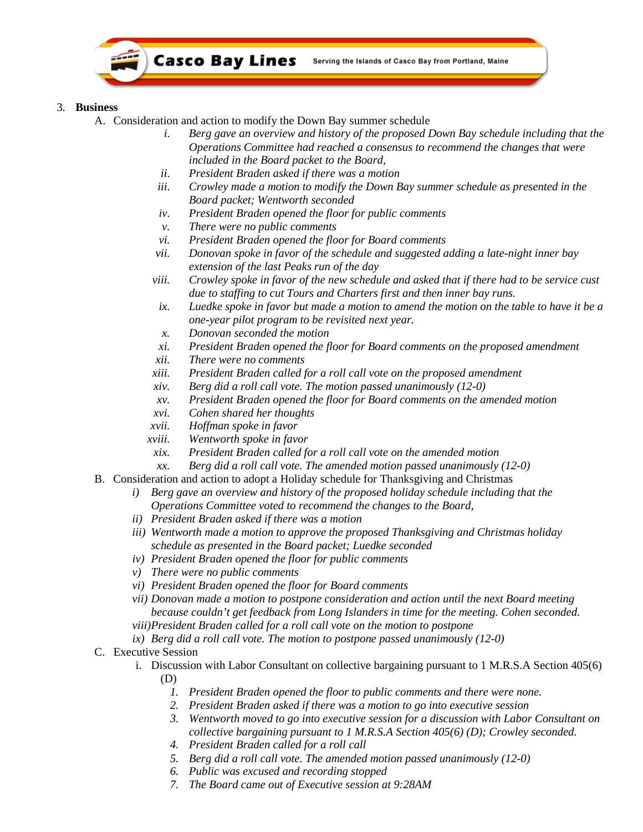

### 3. **Business**

- A. Consideration and action to modify the Down Bay summer schedule
	- *i. Berg gave an overview and history of the proposed Down Bay schedule including that the Operations Committee had reached a consensus to recommend the changes that were included in the Board packet to the Board,*
	- *ii. President Braden asked if there was a motion*
	- *iii. Crowley made a motion to modify the Down Bay summer schedule as presented in the Board packet; Wentworth seconded*
	- *iv. President Braden opened the floor for public comments*
	- *v. There were no public comments*
	- *vi. President Braden opened the floor for Board comments*
	- *vii. Donovan spoke in favor of the schedule and suggested adding a late-night inner bay extension of the last Peaks run of the day*
	- *viii. Crowley spoke in favor of the new schedule and asked that if there had to be service cust due to staffing to cut Tours and Charters first and then inner bay runs.*
	- *ix. Luedke spoke in favor but made a motion to amend the motion on the table to have it be a one-year pilot program to be revisited next year.*
	- *x. Donovan seconded the motion*
	- *xi. President Braden opened the floor for Board comments on the proposed amendment*
	- *xii. There were no comments*
	- *xiii. President Braden called for a roll call vote on the proposed amendment*
	- *xiv. Berg did a roll call vote. The motion passed unanimously (12-0)*
	- *xv. President Braden opened the floor for Board comments on the amended motion*
	- *xvi. Cohen shared her thoughts*
	- *xvii. Hoffman spoke in favor*
	- *xviii. Wentworth spoke in favor*
		- *xix. President Braden called for a roll call vote on the amended motion*
	- *xx. Berg did a roll call vote. The amended motion passed unanimously (12-0)*
- B. Consideration and action to adopt a Holiday schedule for Thanksgiving and Christmas
	- *i) Berg gave an overview and history of the proposed holiday schedule including that the Operations Committee voted to recommend the changes to the Board,*
	- *ii) President Braden asked if there was a motion*
	- *iii) Wentworth made a motion to approve the proposed Thanksgiving and Christmas holiday schedule as presented in the Board packet; Luedke seconded*
	- *iv) President Braden opened the floor for public comments*
	- *v) There were no public comments*
	- *vi) President Braden opened the floor for Board comments*
	- *vii) Donovan made a motion to postpone consideration and action until the next Board meeting because couldn't get feedback from Long Islanders in time for the meeting. Cohen seconded. viii)President Braden called for a roll call vote on the motion to postpone*
	- *ix) Berg did a roll call vote. The motion to postpone passed unanimously (12-0)*

# C. Executive Session

- i. Discussion with Labor Consultant on collective bargaining pursuant to 1 M.R.S.A Section 405(6) (D)
	- *1. President Braden opened the floor to public comments and there were none.*
	- *2. President Braden asked if there was a motion to go into executive session*
	- *3. Wentworth moved to go into executive session for a discussion with Labor Consultant on collective bargaining pursuant to 1 M.R.S.A Section 405(6) (D); Crowley seconded.*
	- *4. President Braden called for a roll call*
	- *5. Berg did a roll call vote. The amended motion passed unanimously (12-0)*
	- *6. Public was excused and recording stopped*
	- *7. The Board came out of Executive session at 9:28AM*